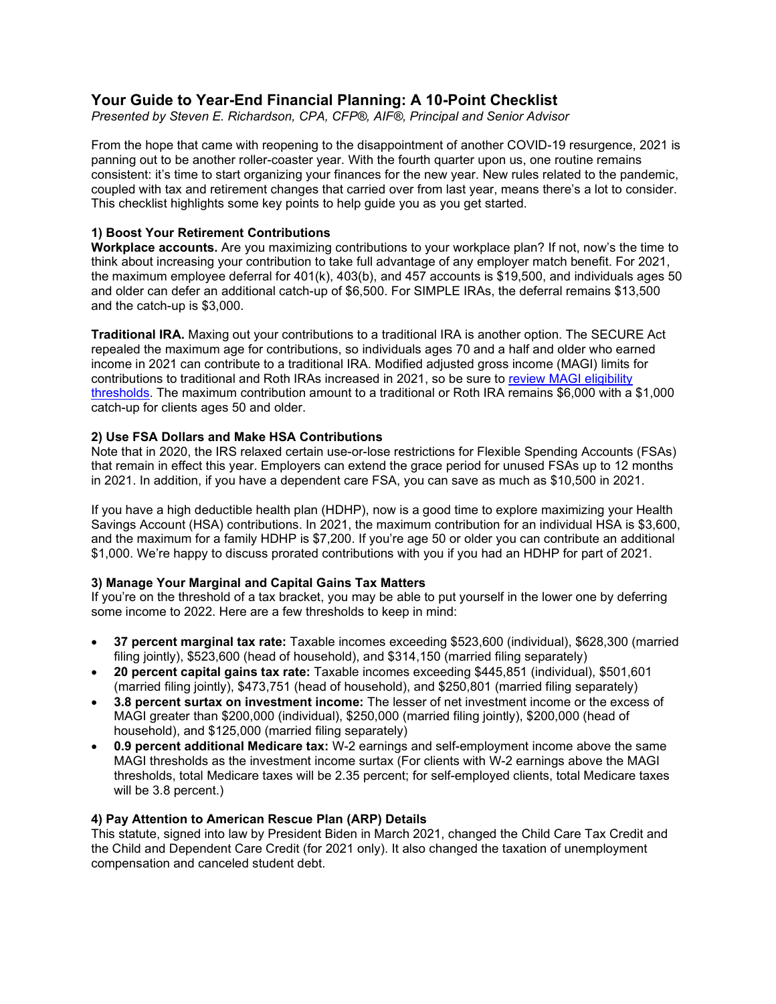# **Your Guide to Year-End Financial Planning: A 10-Point Checklist**

*Presented by Steven E. Richardson, CPA, CFP®, AIF®, Principal and Senior Advisor*

From the hope that came with reopening to the disappointment of another COVID-19 resurgence, 2021 is panning out to be another roller-coaster year. With the fourth quarter upon us, one routine remains consistent: it's time to start organizing your finances for the new year. New rules related to the pandemic, coupled with tax and retirement changes that carried over from last year, means there's a lot to consider. This checklist highlights some key points to help guide you as you get started.

### **1) Boost Your Retirement Contributions**

**Workplace accounts.** Are you maximizing contributions to your workplace plan? If not, now's the time to think about increasing your contribution to take full advantage of any employer match benefit. For 2021, the maximum employee deferral for 401(k), 403(b), and 457 accounts is \$19,500, and individuals ages 50 and older can defer an additional catch-up of \$6,500. For SIMPLE IRAs, the deferral remains \$13,500 and the catch-up is \$3,000.

**Traditional IRA.** Maxing out your contributions to a traditional IRA is another option. The SECURE Act repealed the maximum age for contributions, so individuals ages 70 and a half and older who earned income in 2021 can contribute to a traditional IRA. Modified adjusted gross income (MAGI) limits for contributions to traditional and Roth IRAs increased in 2021, so be sure to [review MAGI eligibility](https://www.medicaid.gov/medicaid/eligibility/index.html)  [thresholds.](https://www.medicaid.gov/medicaid/eligibility/index.html) The maximum contribution amount to a traditional or Roth IRA remains \$6,000 with a \$1,000 catch-up for clients ages 50 and older.

### **2) Use FSA Dollars and Make HSA Contributions**

Note that in 2020, the IRS relaxed certain use-or-lose restrictions for Flexible Spending Accounts (FSAs) that remain in effect this year. Employers can extend the grace period for unused FSAs up to 12 months in 2021. In addition, if you have a dependent care FSA, you can save as much as \$10,500 in 2021.

If you have a high deductible health plan (HDHP), now is a good time to explore maximizing your Health Savings Account (HSA) contributions. In 2021, the maximum contribution for an individual HSA is \$3,600, and the maximum for a family HDHP is \$7,200. If you're age 50 or older you can contribute an additional \$1,000. We're happy to discuss prorated contributions with you if you had an HDHP for part of 2021.

### **3) Manage Your Marginal and Capital Gains Tax Matters**

If you're on the threshold of a tax bracket, you may be able to put yourself in the lower one by deferring some income to 2022. Here are a few thresholds to keep in mind:

- **37 percent marginal tax rate:** Taxable incomes exceeding \$523,600 (individual), \$628,300 (married filing jointly), \$523,600 (head of household), and \$314,150 (married filing separately)
- **20 percent capital gains tax rate:** Taxable incomes exceeding \$445,851 (individual), \$501,601 (married filing jointly), \$473,751 (head of household), and \$250,801 (married filing separately)
- **3.8 percent surtax on investment income:** The lesser of net investment income or the excess of MAGI greater than \$200,000 (individual), \$250,000 (married filing jointly), \$200,000 (head of household), and \$125,000 (married filing separately)
- **0.9 percent additional Medicare tax:** W-2 earnings and self-employment income above the same MAGI thresholds as the investment income surtax (For clients with W-2 earnings above the MAGI thresholds, total Medicare taxes will be 2.35 percent; for self-employed clients, total Medicare taxes will be 3.8 percent.)

### **4) Pay Attention to American Rescue Plan (ARP) Details**

This statute, signed into law by President Biden in March 2021, changed the Child Care Tax Credit and the Child and Dependent Care Credit (for 2021 only). It also changed the taxation of unemployment compensation and canceled student debt.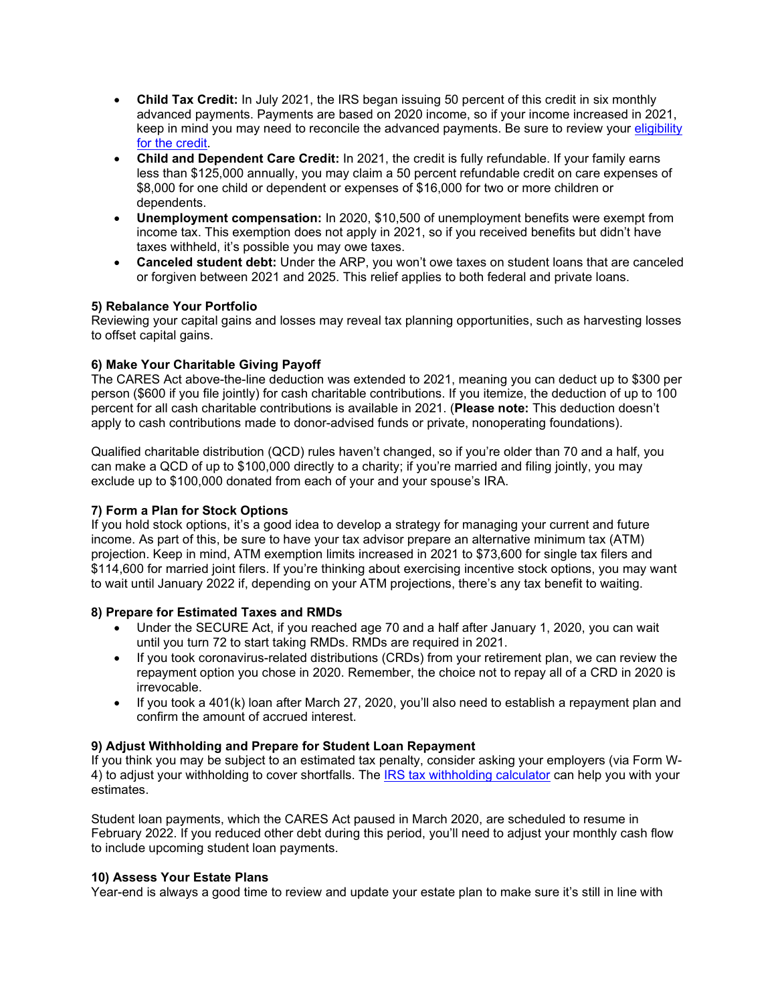- **Child Tax Credit:** In July 2021, the IRS began issuing 50 percent of this credit in six monthly advanced payments. Payments are based on 2020 income, so if your income increased in 2021, keep in mind you may need to reconcile the advanced payments. Be sure to review your [eligibility](https://www.irs.gov/credits-deductions/advance-child-tax-credit-payments-in-2021) for the [credit.](https://www.irs.gov/credits-deductions/advance-child-tax-credit-payments-in-2021)
- **Child and Dependent Care Credit:** In 2021, the credit is fully refundable. If your family earns less than \$125,000 annually, you may claim a 50 percent refundable credit on care expenses of \$8,000 for one child or dependent or expenses of \$16,000 for two or more children or dependents.
- **Unemployment compensation:** In 2020, \$10,500 of unemployment benefits were exempt from income tax. This exemption does not apply in 2021, so if you received benefits but didn't have taxes withheld, it's possible you may owe taxes.
- **Canceled student debt:** Under the ARP, you won't owe taxes on student loans that are canceled or forgiven between 2021 and 2025. This relief applies to both federal and private loans.

## **5) Rebalance Your Portfolio**

Reviewing your capital gains and losses may reveal tax planning opportunities, such as harvesting losses to offset capital gains.

### **6) Make Your Charitable Giving Payoff**

The CARES Act above-the-line deduction was extended to 2021, meaning you can deduct up to \$300 per person (\$600 if you file jointly) for cash charitable contributions. If you itemize, the deduction of up to 100 percent for all cash charitable contributions is available in 2021. (**Please note:** This deduction doesn't apply to cash contributions made to donor-advised funds or private, nonoperating foundations).

Qualified charitable distribution (QCD) rules haven't changed, so if you're older than 70 and a half, you can make a QCD of up to \$100,000 directly to a charity; if you're married and filing jointly, you may exclude up to \$100,000 donated from each of your and your spouse's IRA.

### **7) Form a Plan for Stock Options**

If you hold stock options, it's a good idea to develop a strategy for managing your current and future income. As part of this, be sure to have your tax advisor prepare an alternative minimum tax (ATM) projection. Keep in mind, ATM exemption limits increased in 2021 to \$73,600 for single tax filers and \$114,600 for married joint filers. If you're thinking about exercising incentive stock options, you may want to wait until January 2022 if, depending on your ATM projections, there's any tax benefit to waiting.

### **8) Prepare for Estimated Taxes and RMDs**

- Under the SECURE Act, if you reached age 70 and a half after January 1, 2020, you can wait until you turn 72 to start taking RMDs. RMDs are required in 2021.
- If you took coronavirus-related distributions (CRDs) from your retirement plan, we can review the repayment option you chose in 2020. Remember, the choice not to repay all of a CRD in 2020 is irrevocable.
- If you took a 401(k) loan after March 27, 2020, you'll also need to establish a repayment plan and confirm the amount of accrued interest.

### **9) Adjust Withholding and Prepare for Student Loan Repayment**

If you think you may be subject to an estimated tax penalty, consider asking your employers (via Form W-4) to adjust your withholding to cover shortfalls. The [IRS tax withholding calculator](https://www.irs.gov/individuals/tax-withholding-estimator) can help you with your estimates.

Student loan payments, which the CARES Act paused in March 2020, are scheduled to resume in February 2022. If you reduced other debt during this period, you'll need to adjust your monthly cash flow to include upcoming student loan payments.

### **10) Assess Your Estate Plans**

Year-end is always a good time to review and update your estate plan to make sure it's still in line with